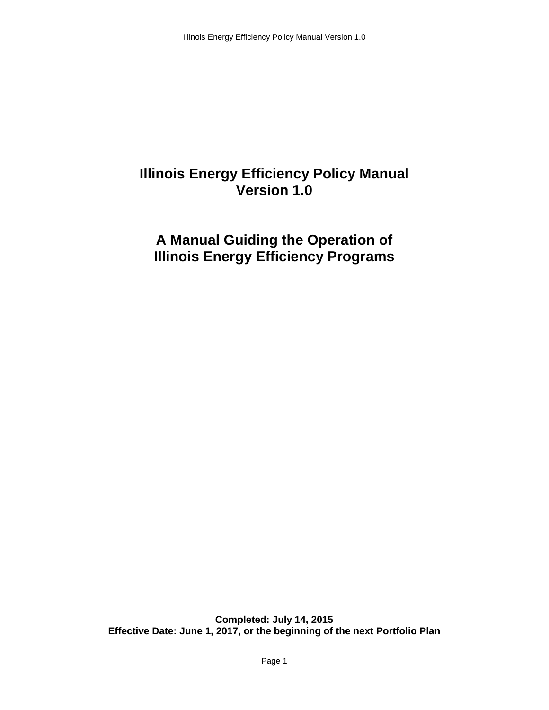# **Illinois Energy Efficiency Policy Manual Version 1.0**

# **A Manual Guiding the Operation of Illinois Energy Efficiency Programs**

**Completed: July 14, 2015 Effective Date: June 1, 2017, or the beginning of the next Portfolio Plan**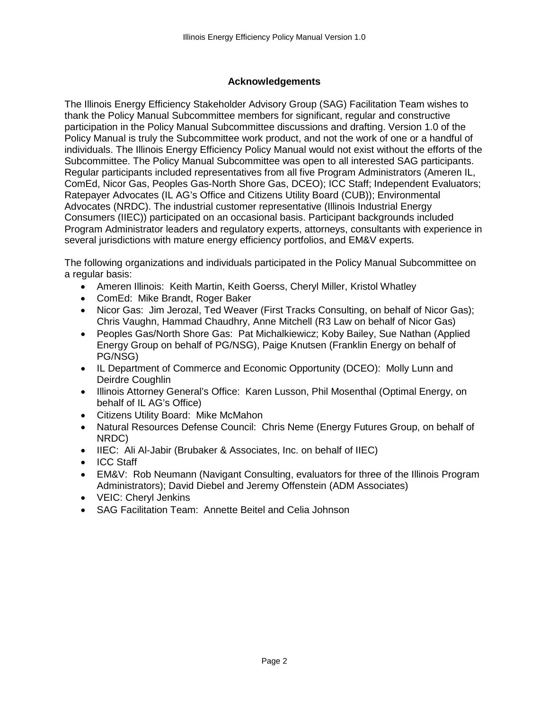# **Acknowledgements**

The Illinois Energy Efficiency Stakeholder Advisory Group (SAG) Facilitation Team wishes to thank the Policy Manual Subcommittee members for significant, regular and constructive participation in the Policy Manual Subcommittee discussions and drafting. Version 1.0 of the Policy Manual is truly the Subcommittee work product, and not the work of one or a handful of individuals. The Illinois Energy Efficiency Policy Manual would not exist without the efforts of the Subcommittee. The Policy Manual Subcommittee was open to all interested SAG participants. Regular participants included representatives from all five Program Administrators (Ameren IL, ComEd, Nicor Gas, Peoples Gas-North Shore Gas, DCEO); ICC Staff; Independent Evaluators; Ratepayer Advocates (IL AG's Office and Citizens Utility Board (CUB)); Environmental Advocates (NRDC). The industrial customer representative (Illinois Industrial Energy Consumers (IIEC)) participated on an occasional basis. Participant backgrounds included Program Administrator leaders and regulatory experts, attorneys, consultants with experience in several jurisdictions with mature energy efficiency portfolios, and EM&V experts.

The following organizations and individuals participated in the Policy Manual Subcommittee on a regular basis:

- Ameren Illinois: Keith Martin, Keith Goerss, Cheryl Miller, Kristol Whatley
- ComEd: Mike Brandt, Roger Baker
- Nicor Gas: Jim Jerozal, Ted Weaver (First Tracks Consulting, on behalf of Nicor Gas); Chris Vaughn, Hammad Chaudhry, Anne Mitchell (R3 Law on behalf of Nicor Gas)
- Peoples Gas/North Shore Gas: Pat Michalkiewicz; Koby Bailey, Sue Nathan (Applied Energy Group on behalf of PG/NSG), Paige Knutsen (Franklin Energy on behalf of PG/NSG)
- IL Department of Commerce and Economic Opportunity (DCEO): Molly Lunn and Deirdre Coughlin
- Illinois Attorney General's Office: Karen Lusson, Phil Mosenthal (Optimal Energy, on behalf of IL AG's Office)
- Citizens Utility Board: Mike McMahon
- Natural Resources Defense Council: Chris Neme (Energy Futures Group, on behalf of NRDC)
- IIEC: Ali Al-Jabir (Brubaker & Associates, Inc. on behalf of IIEC)
- ICC Staff
- EM&V: Rob Neumann (Navigant Consulting, evaluators for three of the Illinois Program Administrators); David Diebel and Jeremy Offenstein (ADM Associates)
- VEIC: Cheryl Jenkins
- SAG Facilitation Team: Annette Beitel and Celia Johnson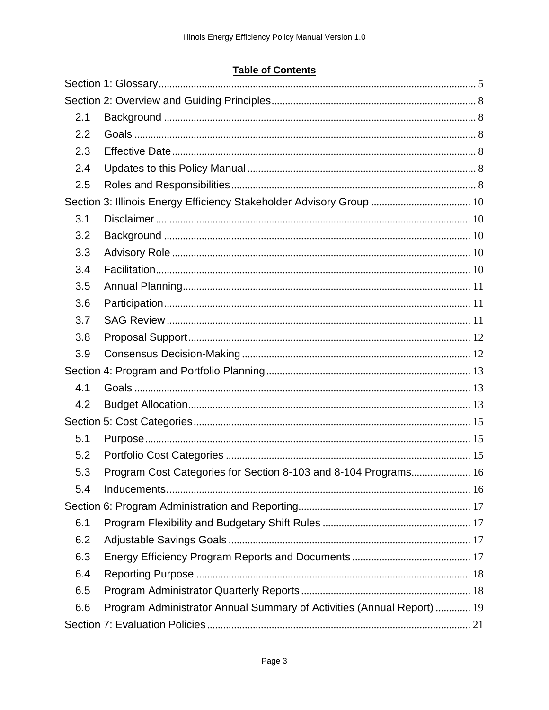# **Table of Contents**

| 2.1 |                                                                        |  |
|-----|------------------------------------------------------------------------|--|
| 2.2 |                                                                        |  |
| 2.3 |                                                                        |  |
| 2.4 |                                                                        |  |
| 2.5 |                                                                        |  |
|     | Section 3: Illinois Energy Efficiency Stakeholder Advisory Group  10   |  |
| 3.1 |                                                                        |  |
| 3.2 |                                                                        |  |
| 3.3 |                                                                        |  |
| 3.4 |                                                                        |  |
| 3.5 |                                                                        |  |
| 3.6 |                                                                        |  |
| 3.7 |                                                                        |  |
| 3.8 |                                                                        |  |
| 3.9 |                                                                        |  |
|     |                                                                        |  |
| 4.1 |                                                                        |  |
| 4.2 |                                                                        |  |
|     |                                                                        |  |
| 5.1 |                                                                        |  |
| 5.2 |                                                                        |  |
| 5.3 | Program Cost Categories for Section 8-103 and 8-104 Programs 16        |  |
| 5.4 |                                                                        |  |
|     |                                                                        |  |
| 6.1 |                                                                        |  |
| 6.2 |                                                                        |  |
| 6.3 |                                                                        |  |
| 6.4 |                                                                        |  |
| 6.5 |                                                                        |  |
| 6.6 | Program Administrator Annual Summary of Activities (Annual Report)  19 |  |
|     |                                                                        |  |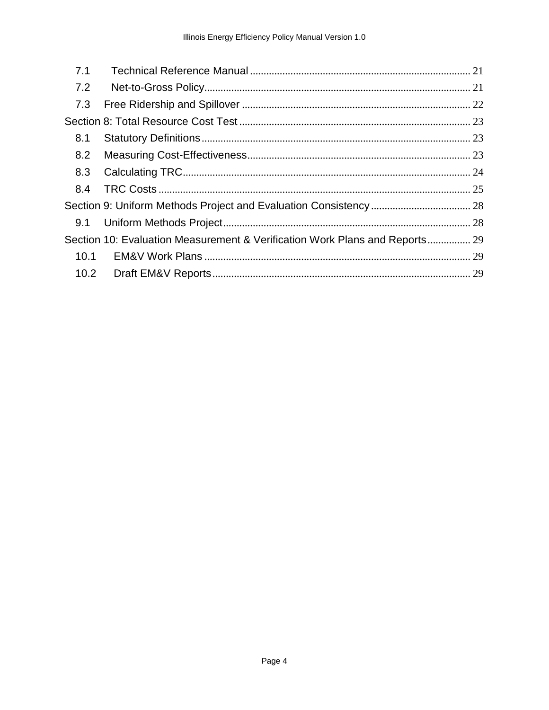| 7.1  |                                                                             |  |
|------|-----------------------------------------------------------------------------|--|
| 7.2  |                                                                             |  |
| 7.3  |                                                                             |  |
|      |                                                                             |  |
| 8.1  |                                                                             |  |
| 8.2  |                                                                             |  |
| 8.3  |                                                                             |  |
| 8.4  |                                                                             |  |
|      |                                                                             |  |
| 9.1  |                                                                             |  |
|      | Section 10: Evaluation Measurement & Verification Work Plans and Reports 29 |  |
| 10.1 |                                                                             |  |
| 10.2 |                                                                             |  |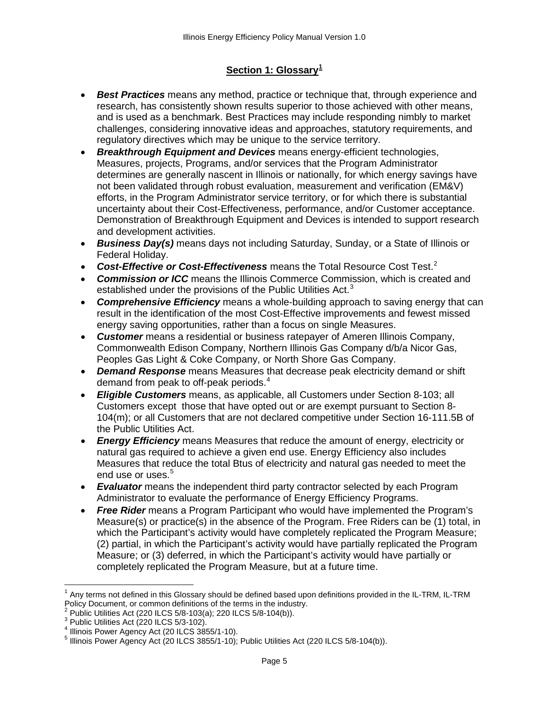# **Section 1: Glossary[1](#page-4-1)**

- <span id="page-4-0"></span>• *Best Practices* means any method, practice or technique that, through experience and research, has consistently shown results superior to those achieved with other means, and is used as a benchmark. Best Practices may include responding nimbly to market challenges, considering innovative ideas and approaches, statutory requirements, and regulatory directives which may be unique to the service territory.
- *Breakthrough Equipment and Devices* means energy-efficient technologies, Measures, projects, Programs, and/or services that the Program Administrator determines are generally nascent in Illinois or nationally, for which energy savings have not been validated through robust evaluation, measurement and verification (EM&V) efforts, in the Program Administrator service territory, or for which there is substantial uncertainty about their Cost-Effectiveness, performance, and/or Customer acceptance. Demonstration of Breakthrough Equipment and Devices is intended to support research and development activities.
- *Business Day(s)* means days not including Saturday, Sunday, or a State of Illinois or Federal Holiday.
- *Cost-Effective or Cost-Effectiveness* means the Total Resource Cost Test.[2](#page-4-2)
- *Commission or ICC* means the Illinois Commerce Commission, which is created and established under the provisions of the Public Utilities Act.<sup>[3](#page-4-3)</sup>
- *Comprehensive Efficiency* means a whole-building approach to saving energy that can result in the identification of the most Cost-Effective improvements and fewest missed energy saving opportunities, rather than a focus on single Measures.
- *Customer* means a residential or business ratepayer of Ameren Illinois Company, Commonwealth Edison Company, Northern Illinois Gas Company d/b/a Nicor Gas, Peoples Gas Light & Coke Company, or North Shore Gas Company.
- *Demand Response* means Measures that decrease peak electricity demand or shift demand from peak to off-peak periods.<sup>[4](#page-4-4)</sup>
- *Eligible Customers* means, as applicable, all Customers under Section 8-103; all Customers except those that have opted out or are exempt pursuant to Section 8- 104(m); or all Customers that are not declared competitive under Section 16-111.5B of the Public Utilities Act.
- *Energy Efficiency* means Measures that reduce the amount of energy, electricity or natural gas required to achieve a given end use. Energy Efficiency also includes Measures that reduce the total Btus of electricity and natural gas needed to meet the end use or uses.<sup>[5](#page-4-5)</sup>
- *Evaluator* means the independent third party contractor selected by each Program Administrator to evaluate the performance of Energy Efficiency Programs.
- *Free Rider* means a Program Participant who would have implemented the Program's Measure(s) or practice(s) in the absence of the Program. Free Riders can be (1) total, in which the Participant's activity would have completely replicated the Program Measure; (2) partial, in which the Participant's activity would have partially replicated the Program Measure; or (3) deferred, in which the Participant's activity would have partially or completely replicated the Program Measure, but at a future time.

<span id="page-4-1"></span> $1$  Any terms not defined in this Glossary should be defined based upon definitions provided in the IL-TRM, IL-TRM<br>Policy Document, or common definitions of the terms in the industry.

<span id="page-4-5"></span><span id="page-4-4"></span><span id="page-4-3"></span>

<span id="page-4-2"></span><sup>&</sup>lt;sup>2</sup> Public Utilities Act (220 ILCS 5/8-103(a); 220 ILCS 5/8-104(b)).<br>
<sup>3</sup> Public Utilities Act (220 ILCS 5/3-102).<br>
<sup>4</sup> Illinois Power Agency Act (20 ILCS 3855/1-10).<br>
<sup>5</sup> Illinois Power Agency Act (20 ILCS 3855/1-10); Pu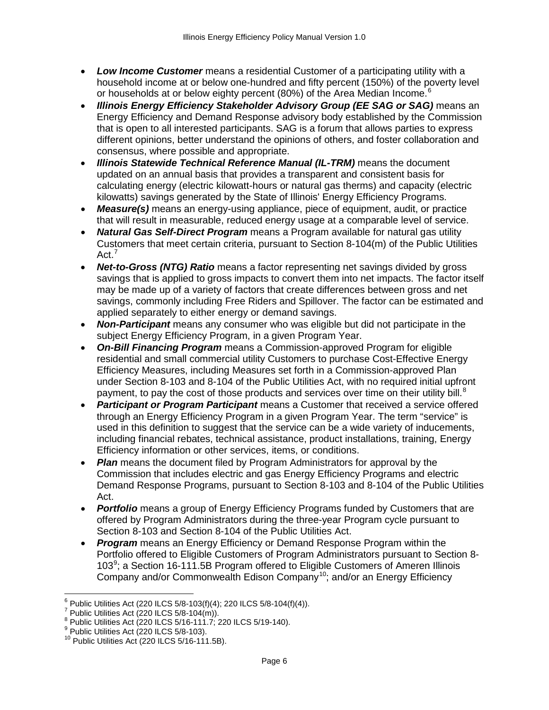- *Low Income Customer* means a residential Customer of a participating utility with a household income at or below one-hundred and fifty percent (150%) of the poverty level or households at or below eighty percent (80%) of the Area Median Income.<sup>[6](#page-5-0)</sup>
- *Illinois Energy Efficiency Stakeholder Advisory Group (EE SAG or SAG)* means an Energy Efficiency and Demand Response advisory body established by the Commission that is open to all interested participants. SAG is a forum that allows parties to express different opinions, better understand the opinions of others, and foster collaboration and consensus, where possible and appropriate.
- **Illinois Statewide Technical Reference Manual (IL-TRM)** means the document updated on an annual basis that provides a transparent and consistent basis for calculating energy (electric kilowatt-hours or natural gas therms) and capacity (electric kilowatts) savings generated by the State of Illinois' Energy Efficiency Programs.
- *Measure(s)* means an energy-using appliance, piece of equipment, audit, or practice that will result in measurable, reduced energy usage at a comparable level of service.
- *Natural Gas Self-Direct Program* means a Program available for natural gas utility Customers that meet certain criteria, pursuant to Section 8-104(m) of the Public Utilities Act.<sup>[7](#page-5-1)</sup>
- *Net-to-Gross (NTG) Ratio* means a factor representing net savings divided by gross savings that is applied to gross impacts to convert them into net impacts. The factor itself may be made up of a variety of factors that create differences between gross and net savings, commonly including Free Riders and Spillover. The factor can be estimated and applied separately to either energy or demand savings.
- *Non-Participant* means any consumer who was eligible but did not participate in the subject Energy Efficiency Program, in a given Program Year.
- *On-Bill Financing Program* means a Commission-approved Program for eligible residential and small commercial utility Customers to purchase Cost-Effective Energy Efficiency Measures, including Measures set forth in a Commission-approved Plan under Section 8-103 and 8-104 of the Public Utilities Act, with no required initial upfront payment, to pay the cost of those products and services over time on their utility bill.<sup>[8](#page-5-2)</sup>
- *Participant or Program Participant* means a Customer that received a service offered through an Energy Efficiency Program in a given Program Year. The term "service" is used in this definition to suggest that the service can be a wide variety of inducements, including financial rebates, technical assistance, product installations, training, Energy Efficiency information or other services, items, or conditions.
- *Plan* means the document filed by Program Administrators for approval by the Commission that includes electric and gas Energy Efficiency Programs and electric Demand Response Programs, pursuant to Section 8-103 and 8-104 of the Public Utilities Act.
- **Portfolio** means a group of Energy Efficiency Programs funded by Customers that are offered by Program Administrators during the three-year Program cycle pursuant to Section 8-103 and Section 8-104 of the Public Utilities Act.
- *Program* means an Energy Efficiency or Demand Response Program within the Portfolio offered to Eligible Customers of Program Administrators pursuant to Section 8- 103<sup>[9](#page-5-3)</sup>; a Section 16-111.5B Program offered to Eligible Customers of Ameren Illinois Company and/or Commonwealth Edison Company<sup>10</sup>; and/or an Energy Efficiency

<span id="page-5-0"></span><sup>&</sup>lt;sup>6</sup> Public Utilities Act (220 ILCS 5/8-103(f)(4); 220 ILCS 5/8-104(f)(4)).<br>
<sup>7</sup> Public Utilities Act (220 ILCS 5/8-104(m)).<br>
<sup>8</sup> Public Utilities Act (220 ILCS 5/16-111.7; 220 ILCS 5/19-140).<br>
<sup>9</sup> Public Utilities Act (22

<span id="page-5-1"></span>

<span id="page-5-2"></span>

<span id="page-5-3"></span>

<span id="page-5-4"></span>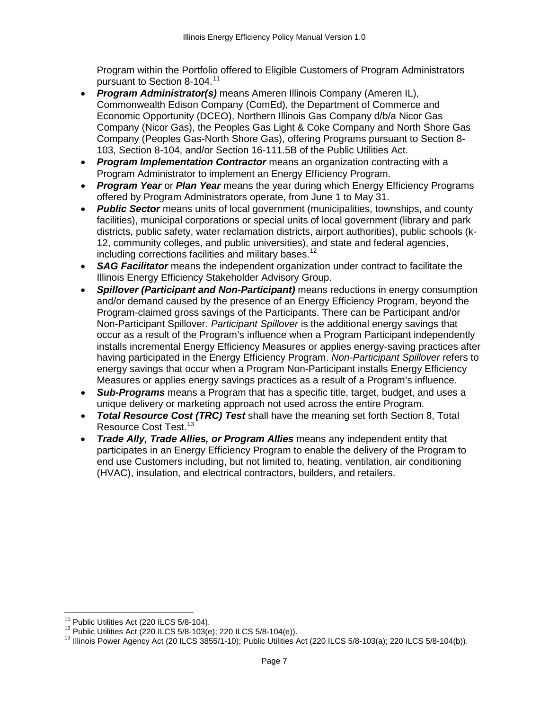Program within the Portfolio offered to Eligible Customers of Program Administrators pursuant to Section 8-104.<sup>[11](#page-6-0)</sup>

- *Program Administrator(s)* means Ameren Illinois Company (Ameren IL), Commonwealth Edison Company (ComEd), the Department of Commerce and Economic Opportunity (DCEO), Northern Illinois Gas Company d/b/a Nicor Gas Company (Nicor Gas), the Peoples Gas Light & Coke Company and North Shore Gas Company (Peoples Gas-North Shore Gas), offering Programs pursuant to Section 8- 103, Section 8-104, and/or Section 16-111.5B of the Public Utilities Act.
- *Program Implementation Contractor* means an organization contracting with a Program Administrator to implement an Energy Efficiency Program.
- *Program Year* or *Plan Year* means the year during which Energy Efficiency Programs offered by Program Administrators operate, from June 1 to May 31.
- *Public Sector* means units of local government (municipalities, townships, and county facilities), municipal corporations or special units of local government (library and park districts, public safety, water reclamation districts, airport authorities), public schools (k-12, community colleges, and public universities), and state and federal agencies, including corrections facilities and military bases.<sup>[12](#page-6-1)</sup>
- *SAG Facilitator* means the independent organization under contract to facilitate the Illinois Energy Efficiency Stakeholder Advisory Group.
- *Spillover (Participant and Non-Participant)* means reductions in energy consumption and/or demand caused by the presence of an Energy Efficiency Program, beyond the Program-claimed gross savings of the Participants. There can be Participant and/or Non-Participant Spillover. *Participant Spillover* is the additional energy savings that occur as a result of the Program's influence when a Program Participant independently installs incremental Energy Efficiency Measures or applies energy-saving practices after having participated in the Energy Efficiency Program. *Non-Participant Spillover* refers to energy savings that occur when a Program Non-Participant installs Energy Efficiency Measures or applies energy savings practices as a result of a Program's influence.
- *Sub-Programs* means a Program that has a specific title, target, budget, and uses a unique delivery or marketing approach not used across the entire Program.
- *Total Resource Cost (TRC) Test* shall have the meaning set forth Section 8, Total Resource Cost Test.<sup>[13](#page-6-2)</sup>
- *Trade Ally, Trade Allies, or Program Allies* means any independent entity that participates in an Energy Efficiency Program to enable the delivery of the Program to end use Customers including, but not limited to, heating, ventilation, air conditioning (HVAC), insulation, and electrical contractors, builders, and retailers.

<span id="page-6-2"></span>

<span id="page-6-1"></span><span id="page-6-0"></span><sup>&</sup>lt;sup>11</sup> Public Utilities Act (220 ILCS 5/8-104).<br><sup>12</sup> Public Utilities Act (220 ILCS 5/8-103(e); 220 ILCS 5/8-104(e)).<br><sup>13</sup> Illinois Power Agency Act (20 ILCS 3855/1-10); Public Utilities Act (220 ILCS 5/8-103(a); 220 ILCS 5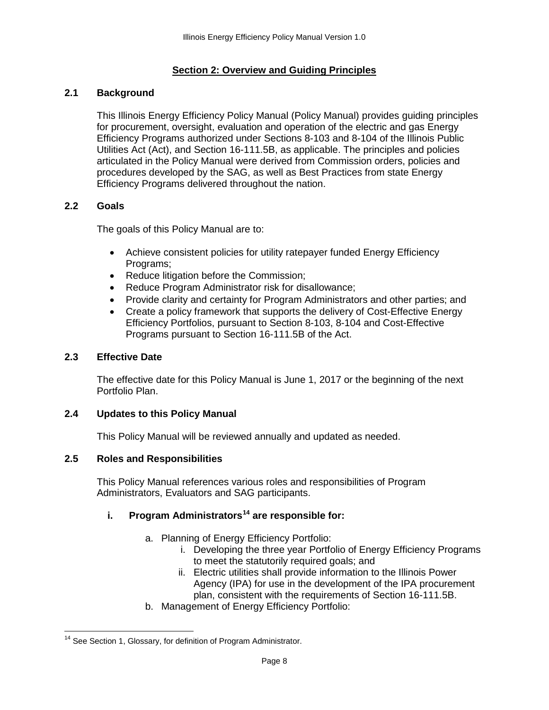## **Section 2: Overview and Guiding Principles**

#### <span id="page-7-1"></span><span id="page-7-0"></span>**2.1 Background**

This Illinois Energy Efficiency Policy Manual (Policy Manual) provides guiding principles for procurement, oversight, evaluation and operation of the electric and gas Energy Efficiency Programs authorized under Sections 8-103 and 8-104 of the Illinois Public Utilities Act (Act), and Section 16-111.5B, as applicable. The principles and policies articulated in the Policy Manual were derived from Commission orders, policies and procedures developed by the SAG, as well as Best Practices from state Energy Efficiency Programs delivered throughout the nation.

#### <span id="page-7-2"></span>**2.2 Goals**

The goals of this Policy Manual are to:

- Achieve consistent policies for utility ratepayer funded Energy Efficiency Programs;
- Reduce litigation before the Commission;
- Reduce Program Administrator risk for disallowance;
- Provide clarity and certainty for Program Administrators and other parties; and
- Create a policy framework that supports the delivery of Cost-Effective Energy Efficiency Portfolios, pursuant to Section 8-103, 8-104 and Cost-Effective Programs pursuant to Section 16-111.5B of the Act.

#### <span id="page-7-3"></span>**2.3 Effective Date**

The effective date for this Policy Manual is June 1, 2017 or the beginning of the next Portfolio Plan.

#### <span id="page-7-4"></span>**2.4 Updates to this Policy Manual**

This Policy Manual will be reviewed annually and updated as needed.

#### <span id="page-7-5"></span>**2.5 Roles and Responsibilities**

This Policy Manual references various roles and responsibilities of Program Administrators, Evaluators and SAG participants.

# **i. Program Administrators[14](#page-7-6) are responsible for:**

- a. Planning of Energy Efficiency Portfolio:
	- i. Developing the three year Portfolio of Energy Efficiency Programs to meet the statutorily required goals; and
	- ii. Electric utilities shall provide information to the Illinois Power Agency (IPA) for use in the development of the IPA procurement plan, consistent with the requirements of Section 16-111.5B.
- b. Management of Energy Efficiency Portfolio:

<span id="page-7-6"></span><sup>&</sup>lt;sup>14</sup> See Section 1, Glossary, for definition of Program Administrator.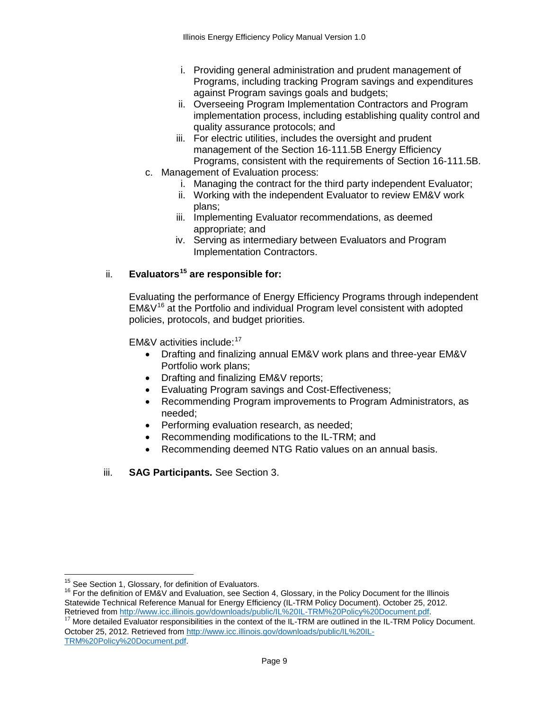- i. Providing general administration and prudent management of Programs, including tracking Program savings and expenditures against Program savings goals and budgets;
- ii. Overseeing Program Implementation Contractors and Program implementation process, including establishing quality control and quality assurance protocols; and
- iii. For electric utilities, includes the oversight and prudent management of the Section 16-111.5B Energy Efficiency Programs, consistent with the requirements of Section 16-111.5B.
- c. Management of Evaluation process:
	- i. Managing the contract for the third party independent Evaluator;
	- ii. Working with the independent Evaluator to review EM&V work plans;
	- iii. Implementing Evaluator recommendations, as deemed appropriate; and
	- iv. Serving as intermediary between Evaluators and Program Implementation Contractors.

# ii. **Evaluators[15](#page-8-0) are responsible for:**

Evaluating the performance of Energy Efficiency Programs through independent  $EM&V^{16}$  $EM&V^{16}$  $EM&V^{16}$  at the Portfolio and individual Program level consistent with adopted policies, protocols, and budget priorities.

EM&V activities include: $17$ 

- Drafting and finalizing annual EM&V work plans and three-year EM&V Portfolio work plans;
- Drafting and finalizing EM&V reports;
- Evaluating Program savings and Cost-Effectiveness;
- Recommending Program improvements to Program Administrators, as needed;
- Performing evaluation research, as needed;
- Recommending modifications to the IL-TRM; and
- Recommending deemed NTG Ratio values on an annual basis.

#### iii. **SAG Participants.** See Section 3.

<span id="page-8-1"></span><span id="page-8-0"></span><sup>&</sup>lt;sup>15</sup> See Section 1, Glossary, for definition of Evaluators.<br><sup>16</sup> For the definition of EM&V and Evaluation, see Section 4, Glossary, in the Policy Document for the Illinois Statewide Technical Reference Manual for Energy Efficiency (IL-TRM Policy Document). October 25, 2012.<br>Retrieved from http://www.icc.illinois.gov/downloads/public/IL%20IL-TRM%20Policy%20Document.pdf.

<span id="page-8-2"></span> $17$  More detailed Evaluator responsibilities in the context of the IL-TRM are outlined in the IL-TRM Policy Document. October 25, 2012. Retrieved from [http://www.icc.illinois.gov/downloads/public/IL%20IL-](http://www.icc.illinois.gov/downloads/public/IL%20TRM%20Policy%20Document.pdf)[TRM%20Policy%20Document.pdf.](http://www.icc.illinois.gov/downloads/public/IL%20TRM%20Policy%20Document.pdf)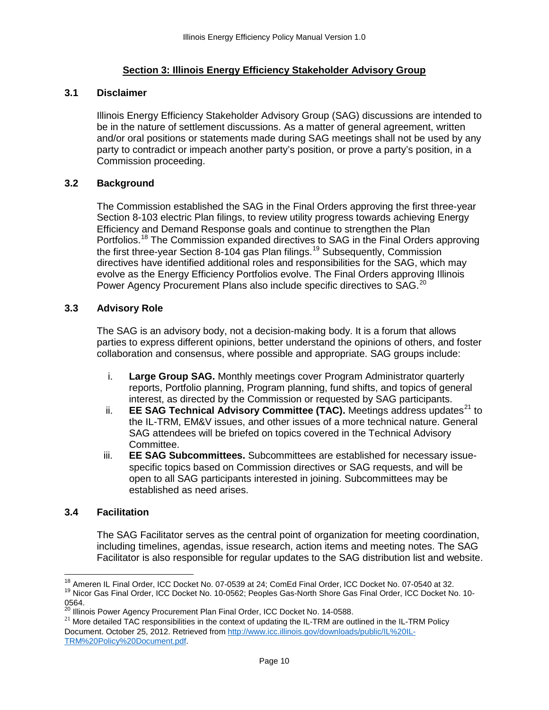## **Section 3: Illinois Energy Efficiency Stakeholder Advisory Group**

#### <span id="page-9-1"></span><span id="page-9-0"></span>**3.1 Disclaimer**

Illinois Energy Efficiency Stakeholder Advisory Group (SAG) discussions are intended to be in the nature of settlement discussions. As a matter of general agreement, written and/or oral positions or statements made during SAG meetings shall not be used by any party to contradict or impeach another party's position, or prove a party's position, in a Commission proceeding.

#### <span id="page-9-2"></span>**3.2 Background**

The Commission established the SAG in the Final Orders approving the first three-year Section 8-103 electric Plan filings, to review utility progress towards achieving Energy Efficiency and Demand Response goals and continue to strengthen the Plan Portfolios.<sup>[18](#page-9-5)</sup> The Commission expanded directives to SAG in the Final Orders approving the first three-year Section 8-104 gas Plan filings.<sup>[19](#page-9-6)</sup> Subsequently, Commission directives have identified additional roles and responsibilities for the SAG, which may evolve as the Energy Efficiency Portfolios evolve. The Final Orders approving Illinois Power Agency Procurement Plans also include specific directives to SAG.<sup>[20](#page-9-7)</sup>

#### <span id="page-9-3"></span>**3.3 Advisory Role**

The SAG is an advisory body, not a decision-making body. It is a forum that allows parties to express different opinions, better understand the opinions of others, and foster collaboration and consensus, where possible and appropriate. SAG groups include:

- i. **Large Group SAG.** Monthly meetings cover Program Administrator quarterly reports, Portfolio planning, Program planning, fund shifts, and topics of general interest, as directed by the Commission or requested by SAG participants.
- ii. **EE SAG Technical Advisory Committee (TAC).** Meetings address updates<sup>[21](#page-9-8)</sup> to the IL-TRM, EM&V issues, and other issues of a more technical nature. General SAG attendees will be briefed on topics covered in the Technical Advisory Committee.
- iii. **EE SAG Subcommittees.** Subcommittees are established for necessary issuespecific topics based on Commission directives or SAG requests, and will be open to all SAG participants interested in joining. Subcommittees may be established as need arises.

#### <span id="page-9-4"></span>**3.4 Facilitation**

The SAG Facilitator serves as the central point of organization for meeting coordination, including timelines, agendas, issue research, action items and meeting notes. The SAG Facilitator is also responsible for regular updates to the SAG distribution list and website.

<span id="page-9-5"></span><sup>&</sup>lt;sup>18</sup> Ameren IL Final Order, ICC Docket No. 07-0539 at 24; ComEd Final Order, ICC Docket No. 07-0540 at 32.<br><sup>19</sup> Nicor Gas Final Order, ICC Docket No. 10-0562; Peoples Gas-North Shore Gas Final Order, ICC Docket No. 10-

<span id="page-9-7"></span><span id="page-9-6"></span><sup>0564.&</sup>lt;br><sup>20</sup> Illinois Power Agency Procurement Plan Final Order, ICC Docket No. 14-0588.

<span id="page-9-8"></span> $21$  More detailed TAC responsibilities in the context of updating the IL-TRM are outlined in the IL-TRM Policy Document. October 25, 2012. Retrieved from [http://www.icc.illinois.gov/downloads/public/IL%20IL-](http://www.icc.illinois.gov/downloads/public/IL%20TRM%20Policy%20Document.pdf)[TRM%20Policy%20Document.pdf.](http://www.icc.illinois.gov/downloads/public/IL%20TRM%20Policy%20Document.pdf)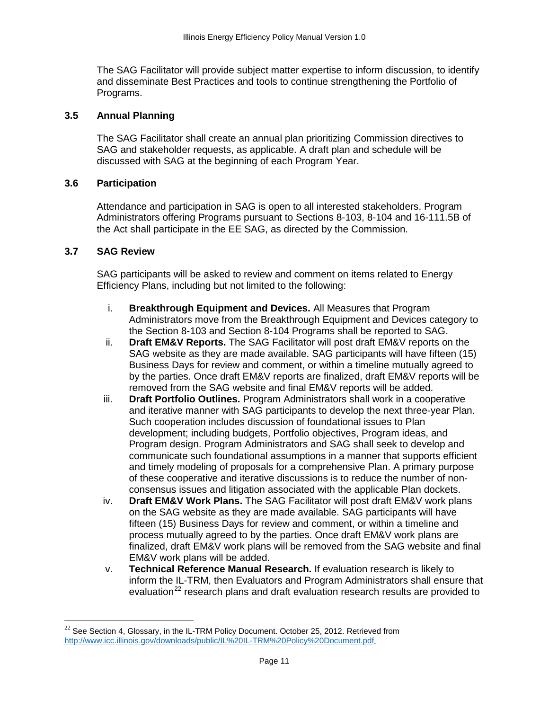The SAG Facilitator will provide subject matter expertise to inform discussion, to identify and disseminate Best Practices and tools to continue strengthening the Portfolio of Programs.

#### <span id="page-10-0"></span>**3.5 Annual Planning**

The SAG Facilitator shall create an annual plan prioritizing Commission directives to SAG and stakeholder requests, as applicable. A draft plan and schedule will be discussed with SAG at the beginning of each Program Year.

#### <span id="page-10-1"></span>**3.6 Participation**

Attendance and participation in SAG is open to all interested stakeholders. Program Administrators offering Programs pursuant to Sections 8-103, 8-104 and 16-111.5B of the Act shall participate in the EE SAG, as directed by the Commission.

#### <span id="page-10-2"></span>**3.7 SAG Review**

SAG participants will be asked to review and comment on items related to Energy Efficiency Plans, including but not limited to the following:

- i. **Breakthrough Equipment and Devices.** All Measures that Program Administrators move from the Breakthrough Equipment and Devices category to the Section 8-103 and Section 8-104 Programs shall be reported to SAG.
- ii. **Draft EM&V Reports.** The SAG Facilitator will post draft EM&V reports on the SAG website as they are made available. SAG participants will have fifteen (15) Business Days for review and comment, or within a timeline mutually agreed to by the parties. Once draft EM&V reports are finalized, draft EM&V reports will be removed from the SAG website and final EM&V reports will be added.
- iii. **Draft Portfolio Outlines.** Program Administrators shall work in a cooperative and iterative manner with SAG participants to develop the next three-year Plan. Such cooperation includes discussion of foundational issues to Plan development; including budgets, Portfolio objectives, Program ideas, and Program design. Program Administrators and SAG shall seek to develop and communicate such foundational assumptions in a manner that supports efficient and timely modeling of proposals for a comprehensive Plan. A primary purpose of these cooperative and iterative discussions is to reduce the number of nonconsensus issues and litigation associated with the applicable Plan dockets.
- iv. **Draft EM&V Work Plans.** The SAG Facilitator will post draft EM&V work plans on the SAG website as they are made available. SAG participants will have fifteen (15) Business Days for review and comment, or within a timeline and process mutually agreed to by the parties. Once draft EM&V work plans are finalized, draft EM&V work plans will be removed from the SAG website and final EM&V work plans will be added.
- v. **Technical Reference Manual Research.** If evaluation research is likely to inform the IL-TRM, then Evaluators and Program Administrators shall ensure that evaluation<sup>[22](#page-10-3)</sup> research plans and draft evaluation research results are provided to

<span id="page-10-3"></span> $22$  See Section 4, Glossary, in the IL-TRM Policy Document. October 25, 2012. Retrieved from [http://www.icc.illinois.gov/downloads/public/IL%20IL-TRM%20Policy%20Document.pdf.](http://www.icc.illinois.gov/downloads/public/IL%20TRM%20Policy%20Document.pdf)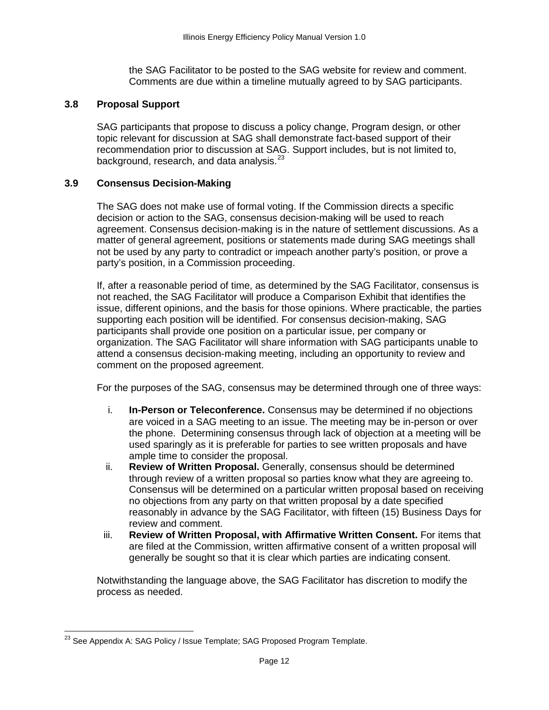the SAG Facilitator to be posted to the SAG website for review and comment. Comments are due within a timeline mutually agreed to by SAG participants.

#### <span id="page-11-0"></span>**3.8 Proposal Support**

SAG participants that propose to discuss a policy change, Program design, or other topic relevant for discussion at SAG shall demonstrate fact-based support of their recommendation prior to discussion at SAG. Support includes, but is not limited to, background, research, and data analysis.<sup>[23](#page-11-2)</sup>

#### <span id="page-11-1"></span>**3.9 Consensus Decision-Making**

The SAG does not make use of formal voting. If the Commission directs a specific decision or action to the SAG, consensus decision-making will be used to reach agreement. Consensus decision-making is in the nature of settlement discussions. As a matter of general agreement, positions or statements made during SAG meetings shall not be used by any party to contradict or impeach another party's position, or prove a party's position, in a Commission proceeding.

If, after a reasonable period of time, as determined by the SAG Facilitator, consensus is not reached, the SAG Facilitator will produce a Comparison Exhibit that identifies the issue, different opinions, and the basis for those opinions. Where practicable, the parties supporting each position will be identified. For consensus decision-making, SAG participants shall provide one position on a particular issue, per company or organization. The SAG Facilitator will share information with SAG participants unable to attend a consensus decision-making meeting, including an opportunity to review and comment on the proposed agreement.

For the purposes of the SAG, consensus may be determined through one of three ways:

- i. **In-Person or Teleconference.** Consensus may be determined if no objections are voiced in a SAG meeting to an issue. The meeting may be in-person or over the phone. Determining consensus through lack of objection at a meeting will be used sparingly as it is preferable for parties to see written proposals and have ample time to consider the proposal.
- ii. **Review of Written Proposal.** Generally, consensus should be determined through review of a written proposal so parties know what they are agreeing to. Consensus will be determined on a particular written proposal based on receiving no objections from any party on that written proposal by a date specified reasonably in advance by the SAG Facilitator, with fifteen (15) Business Days for review and comment.
- iii. **Review of Written Proposal, with Affirmative Written Consent.** For items that are filed at the Commission, written affirmative consent of a written proposal will generally be sought so that it is clear which parties are indicating consent.

Notwithstanding the language above, the SAG Facilitator has discretion to modify the process as needed.

<span id="page-11-2"></span><sup>&</sup>lt;sup>23</sup> See Appendix A: SAG Policy / Issue Template; SAG Proposed Program Template.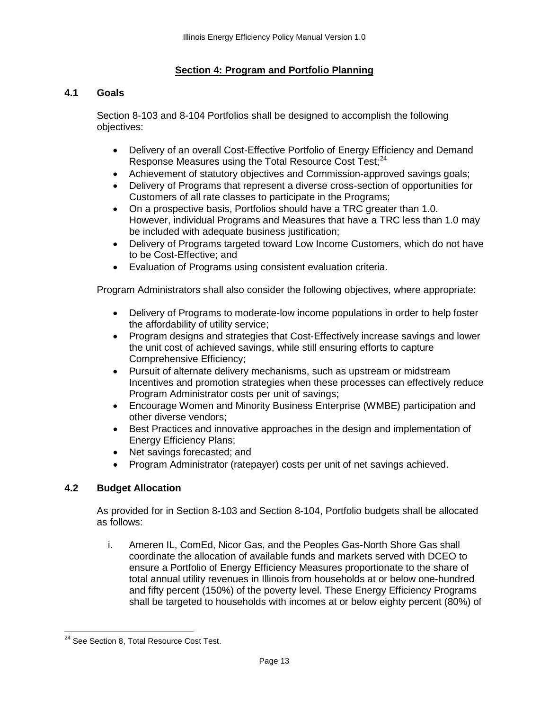# **Section 4: Program and Portfolio Planning**

# <span id="page-12-1"></span><span id="page-12-0"></span>**4.1 Goals**

Section 8-103 and 8-104 Portfolios shall be designed to accomplish the following objectives:

- Delivery of an overall Cost-Effective Portfolio of Energy Efficiency and Demand Response Measures using the Total Resource Cost Test;<sup>[24](#page-12-3)</sup>
- Achievement of statutory objectives and Commission-approved savings goals;
- Delivery of Programs that represent a diverse cross-section of opportunities for Customers of all rate classes to participate in the Programs;
- On a prospective basis, Portfolios should have a TRC greater than 1.0. However, individual Programs and Measures that have a TRC less than 1.0 may be included with adequate business justification;
- Delivery of Programs targeted toward Low Income Customers, which do not have to be Cost-Effective; and
- Evaluation of Programs using consistent evaluation criteria.

Program Administrators shall also consider the following objectives, where appropriate:

- Delivery of Programs to moderate-low income populations in order to help foster the affordability of utility service;
- Program designs and strategies that Cost-Effectively increase savings and lower the unit cost of achieved savings, while still ensuring efforts to capture Comprehensive Efficiency;
- Pursuit of alternate delivery mechanisms, such as upstream or midstream Incentives and promotion strategies when these processes can effectively reduce Program Administrator costs per unit of savings;
- Encourage Women and Minority Business Enterprise (WMBE) participation and other diverse vendors;
- Best Practices and innovative approaches in the design and implementation of Energy Efficiency Plans;
- Net savings forecasted; and
- Program Administrator (ratepayer) costs per unit of net savings achieved.

# <span id="page-12-2"></span>**4.2 Budget Allocation**

As provided for in Section 8-103 and Section 8-104, Portfolio budgets shall be allocated as follows:

i. Ameren IL, ComEd, Nicor Gas, and the Peoples Gas-North Shore Gas shall coordinate the allocation of available funds and markets served with DCEO to ensure a Portfolio of Energy Efficiency Measures proportionate to the share of total annual utility revenues in Illinois from households at or below one-hundred and fifty percent (150%) of the poverty level. These Energy Efficiency Programs shall be targeted to households with incomes at or below eighty percent (80%) of

<span id="page-12-3"></span><sup>&</sup>lt;sup>24</sup> See Section 8, Total Resource Cost Test.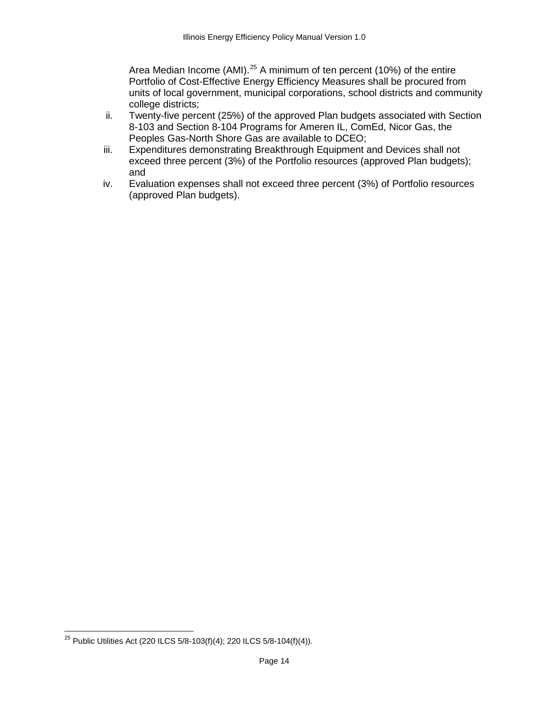Area Median Income (AMI).<sup>[25](#page-13-0)</sup> A minimum of ten percent (10%) of the entire Portfolio of Cost-Effective Energy Efficiency Measures shall be procured from units of local government, municipal corporations, school districts and community college districts;

- ii. Twenty-five percent (25%) of the approved Plan budgets associated with Section 8-103 and Section 8-104 Programs for Ameren IL, ComEd, Nicor Gas, the Peoples Gas-North Shore Gas are available to DCEO;
- iii. Expenditures demonstrating Breakthrough Equipment and Devices shall not exceed three percent (3%) of the Portfolio resources (approved Plan budgets); and
- iv. Evaluation expenses shall not exceed three percent (3%) of Portfolio resources (approved Plan budgets).

<span id="page-13-0"></span><sup>&</sup>lt;sup>25</sup> Public Utilities Act (220 ILCS  $5/8-103(f)(4)$ ; 220 ILCS  $5/8-104(f)(4)$ ).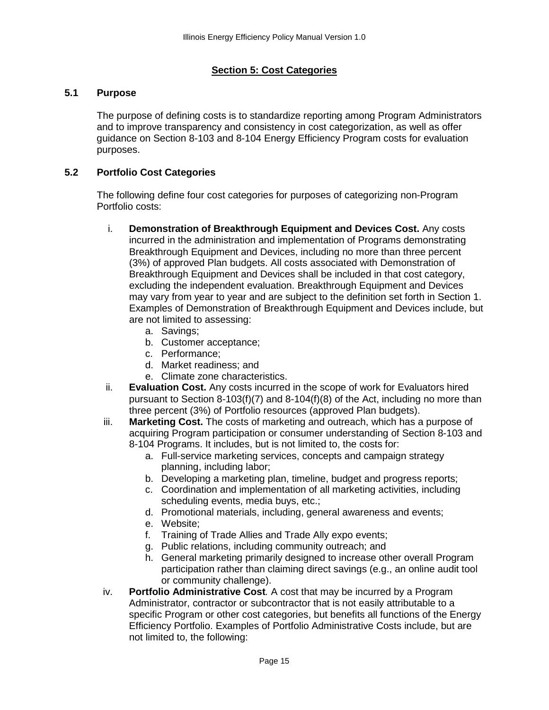# **Section 5: Cost Categories**

#### <span id="page-14-1"></span><span id="page-14-0"></span>**5.1 Purpose**

The purpose of defining costs is to standardize reporting among Program Administrators and to improve transparency and consistency in cost categorization, as well as offer guidance on Section 8-103 and 8-104 Energy Efficiency Program costs for evaluation purposes.

#### <span id="page-14-2"></span>**5.2 Portfolio Cost Categories**

The following define four cost categories for purposes of categorizing non-Program Portfolio costs:

- i. **Demonstration of Breakthrough Equipment and Devices Cost.** Any costs incurred in the administration and implementation of Programs demonstrating Breakthrough Equipment and Devices, including no more than three percent (3%) of approved Plan budgets. All costs associated with Demonstration of Breakthrough Equipment and Devices shall be included in that cost category, excluding the independent evaluation. Breakthrough Equipment and Devices may vary from year to year and are subject to the definition set forth in Section 1. Examples of Demonstration of Breakthrough Equipment and Devices include, but are not limited to assessing:
	- a. Savings;
	- b. Customer acceptance;
	- c. Performance;
	- d. Market readiness; and
	- e. Climate zone characteristics.
- ii. **Evaluation Cost.** Any costs incurred in the scope of work for Evaluators hired pursuant to Section 8-103(f)(7) and 8-104(f)(8) of the Act, including no more than three percent (3%) of Portfolio resources (approved Plan budgets).
- iii. **Marketing Cost.** The costs of marketing and outreach, which has a purpose of acquiring Program participation or consumer understanding of Section 8-103 and 8-104 Programs. It includes, but is not limited to, the costs for:
	- a. Full-service marketing services, concepts and campaign strategy planning, including labor;
	- b. Developing a marketing plan, timeline, budget and progress reports;
	- c. Coordination and implementation of all marketing activities, including scheduling events, media buys, etc.;
	- d. Promotional materials, including, general awareness and events;
	- e. Website;
	- f. Training of Trade Allies and Trade Ally expo events;
	- g. Public relations, including community outreach; and
	- h. General marketing primarily designed to increase other overall Program participation rather than claiming direct savings (e.g., an online audit tool or community challenge).
- iv. **Portfolio Administrative Cost***.* A cost that may be incurred by a Program Administrator, contractor or subcontractor that is not easily attributable to a specific Program or other cost categories, but benefits all functions of the Energy Efficiency Portfolio. Examples of Portfolio Administrative Costs include, but are not limited to, the following: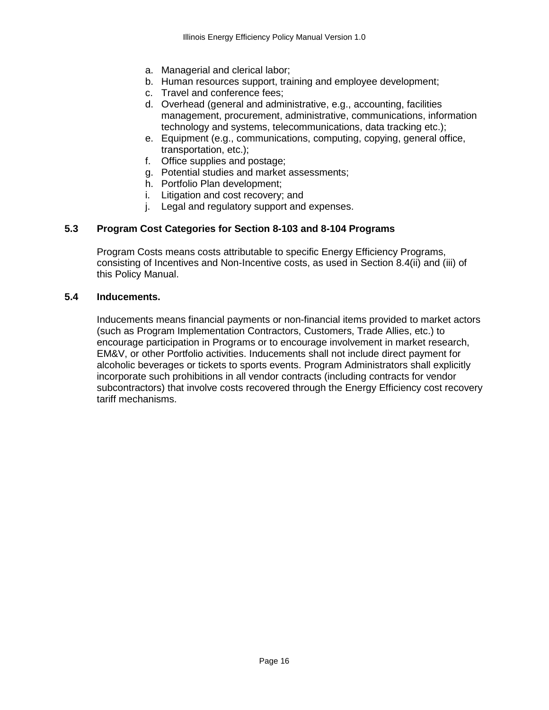- a. Managerial and clerical labor;
- b. Human resources support, training and employee development;
- c. Travel and conference fees;
- d. Overhead (general and administrative, e.g., accounting, facilities management, procurement, administrative, communications, information technology and systems, telecommunications, data tracking etc.);
- e. Equipment (e.g., communications, computing, copying, general office, transportation, etc.);
- f. Office supplies and postage;
- g. Potential studies and market assessments;
- h. Portfolio Plan development;
- i. Litigation and cost recovery; and
- j. Legal and regulatory support and expenses.

# <span id="page-15-0"></span>**5.3 Program Cost Categories for Section 8-103 and 8-104 Programs**

Program Costs means costs attributable to specific Energy Efficiency Programs, consisting of Incentives and Non-Incentive costs, as used in Section 8.4(ii) and (iii) of this Policy Manual.

#### <span id="page-15-1"></span>**5.4 Inducements.**

Inducements means financial payments or non-financial items provided to market actors (such as Program Implementation Contractors, Customers, Trade Allies, etc.) to encourage participation in Programs or to encourage involvement in market research, EM&V, or other Portfolio activities. Inducements shall not include direct payment for alcoholic beverages or tickets to sports events. Program Administrators shall explicitly incorporate such prohibitions in all vendor contracts (including contracts for vendor subcontractors) that involve costs recovered through the Energy Efficiency cost recovery tariff mechanisms.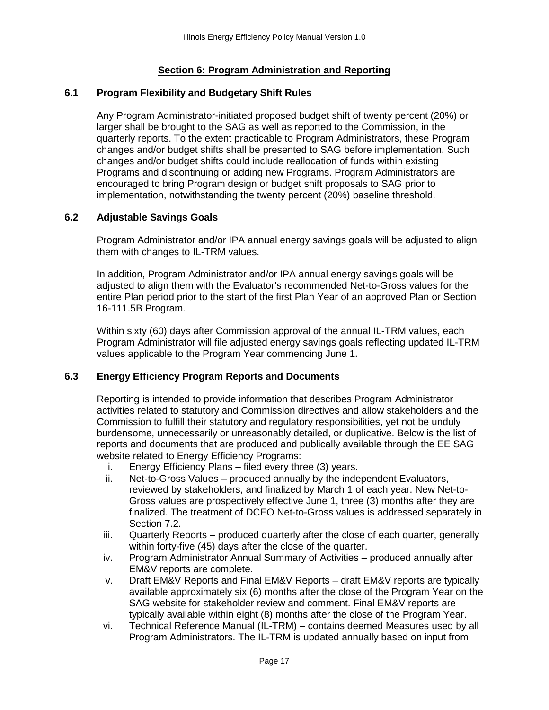# **Section 6: Program Administration and Reporting**

#### <span id="page-16-1"></span><span id="page-16-0"></span>**6.1 Program Flexibility and Budgetary Shift Rules**

Any Program Administrator-initiated proposed budget shift of twenty percent (20%) or larger shall be brought to the SAG as well as reported to the Commission, in the quarterly reports. To the extent practicable to Program Administrators, these Program changes and/or budget shifts shall be presented to SAG before implementation. Such changes and/or budget shifts could include reallocation of funds within existing Programs and discontinuing or adding new Programs. Program Administrators are encouraged to bring Program design or budget shift proposals to SAG prior to implementation, notwithstanding the twenty percent (20%) baseline threshold.

#### <span id="page-16-2"></span>**6.2 Adjustable Savings Goals**

Program Administrator and/or IPA annual energy savings goals will be adjusted to align them with changes to IL-TRM values.

In addition, Program Administrator and/or IPA annual energy savings goals will be adjusted to align them with the Evaluator's recommended Net-to-Gross values for the entire Plan period prior to the start of the first Plan Year of an approved Plan or Section 16-111.5B Program.

Within sixty (60) days after Commission approval of the annual IL-TRM values, each Program Administrator will file adjusted energy savings goals reflecting updated IL-TRM values applicable to the Program Year commencing June 1.

#### <span id="page-16-3"></span>**6.3 Energy Efficiency Program Reports and Documents**

Reporting is intended to provide information that describes Program Administrator activities related to statutory and Commission directives and allow stakeholders and the Commission to fulfill their statutory and regulatory responsibilities, yet not be unduly burdensome, unnecessarily or unreasonably detailed, or duplicative. Below is the list of reports and documents that are produced and publically available through the EE SAG website related to Energy Efficiency Programs:

- i. Energy Efficiency Plans filed every three (3) years.
- ii. Net-to-Gross Values produced annually by the independent Evaluators, reviewed by stakeholders, and finalized by March 1 of each year. New Net-to-Gross values are prospectively effective June 1, three (3) months after they are finalized. The treatment of DCEO Net-to-Gross values is addressed separately in Section 7.2.
- iii. Quarterly Reports produced quarterly after the close of each quarter, generally within forty-five (45) days after the close of the quarter.
- iv. Program Administrator Annual Summary of Activities produced annually after EM&V reports are complete.
- v. Draft EM&V Reports and Final EM&V Reports draft EM&V reports are typically available approximately six (6) months after the close of the Program Year on the SAG website for stakeholder review and comment. Final EM&V reports are typically available within eight (8) months after the close of the Program Year.
- vi. Technical Reference Manual (IL-TRM) contains deemed Measures used by all Program Administrators. The IL-TRM is updated annually based on input from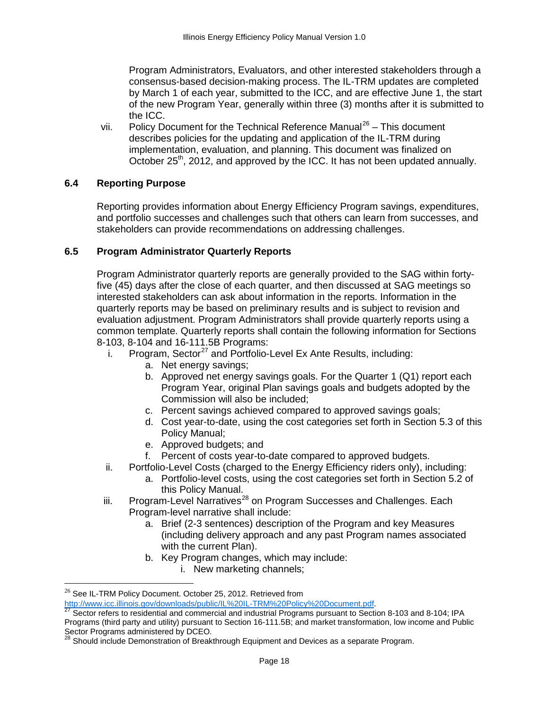Program Administrators, Evaluators, and other interested stakeholders through a consensus-based decision-making process. The IL-TRM updates are completed by March 1 of each year, submitted to the ICC, and are effective June 1, the start of the new Program Year, generally within three (3) months after it is submitted to the ICC.

vii. Policy Document for the Technical Reference Manual<sup>[26](#page-17-2)</sup> – This document describes policies for the updating and application of the IL-TRM during implementation, evaluation, and planning. This document was finalized on October 25<sup>th</sup>, 2012, and approved by the ICC. It has not been updated annually.

#### <span id="page-17-0"></span>**6.4 Reporting Purpose**

Reporting provides information about Energy Efficiency Program savings, expenditures, and portfolio successes and challenges such that others can learn from successes, and stakeholders can provide recommendations on addressing challenges.

#### <span id="page-17-1"></span>**6.5 Program Administrator Quarterly Reports**

Program Administrator quarterly reports are generally provided to the SAG within fortyfive (45) days after the close of each quarter, and then discussed at SAG meetings so interested stakeholders can ask about information in the reports. Information in the quarterly reports may be based on preliminary results and is subject to revision and evaluation adjustment. Program Administrators shall provide quarterly reports using a common template. Quarterly reports shall contain the following information for Sections 8-103, 8-104 and 16-111.5B Programs:

- i. Program, Sector<sup>[27](#page-17-3)</sup> and Portfolio-Level Ex Ante Results, including:
	- a. Net energy savings;
	- b. Approved net energy savings goals. For the Quarter 1 (Q1) report each Program Year, original Plan savings goals and budgets adopted by the Commission will also be included;
	- c. Percent savings achieved compared to approved savings goals;
	- d. Cost year-to-date, using the cost categories set forth in Section 5.3 of this Policy Manual;
	- e. Approved budgets; and
	- f. Percent of costs year-to-date compared to approved budgets.
- ii. Portfolio-Level Costs (charged to the Energy Efficiency riders only), including:
	- a. Portfolio-level costs, using the cost categories set forth in Section 5.2 of this Policy Manual.
- iii. Program-Level Narratives<sup>[28](#page-17-4)</sup> on Program Successes and Challenges. Each Program-level narrative shall include:
	- a. Brief (2-3 sentences) description of the Program and key Measures (including delivery approach and any past Program names associated with the current Plan).
	- b. Key Program changes, which may include:
		- i. New marketing channels;

 $^{26}$  See IL-TRM Policy Document. October 25, 2012. Retrieved from

<span id="page-17-3"></span>

<span id="page-17-2"></span>[http://www.icc.illinois.gov/downloads/public/IL%20IL-TRM%20Policy%20Document.pdf.](http://www.icc.illinois.gov/downloads/public/IL%20TRM%20Policy%20Document.pdf)<br><sup>27</sup> Sector refers to residential and commercial and industrial Programs pursuant to Section 8-103 and 8-104; IPA Programs (third party and utility) pursuant to Section 16-111.5B; and market transformation, low income and Public<br>Sector Programs administered by DCEO.

<span id="page-17-4"></span>Should include Demonstration of Breakthrough Equipment and Devices as a separate Program.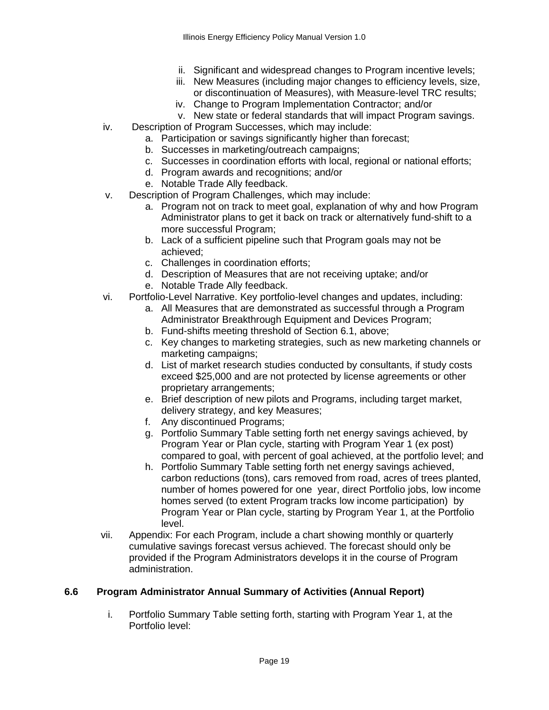- ii. Significant and widespread changes to Program incentive levels;
- iii. New Measures (including major changes to efficiency levels, size, or discontinuation of Measures), with Measure-level TRC results;
- iv. Change to Program Implementation Contractor; and/or
- v. New state or federal standards that will impact Program savings.
- iv. Description of Program Successes, which may include:
	- a. Participation or savings significantly higher than forecast;
	- b. Successes in marketing/outreach campaigns;
	- c. Successes in coordination efforts with local, regional or national efforts;
	- d. Program awards and recognitions; and/or
	- e. Notable Trade Ally feedback.
- v. Description of Program Challenges, which may include:
	- a. Program not on track to meet goal, explanation of why and how Program Administrator plans to get it back on track or alternatively fund-shift to a more successful Program;
	- b. Lack of a sufficient pipeline such that Program goals may not be achieved;
	- c. Challenges in coordination efforts;
	- d. Description of Measures that are not receiving uptake; and/or
	- e. Notable Trade Ally feedback.
- vi. Portfolio-Level Narrative. Key portfolio-level changes and updates, including:
	- a. All Measures that are demonstrated as successful through a Program Administrator Breakthrough Equipment and Devices Program;
		- b. Fund-shifts meeting threshold of Section 6.1, above;
	- c. Key changes to marketing strategies, such as new marketing channels or marketing campaigns;
	- d. List of market research studies conducted by consultants, if study costs exceed \$25,000 and are not protected by license agreements or other proprietary arrangements;
	- e. Brief description of new pilots and Programs, including target market, delivery strategy, and key Measures;
	- f. Any discontinued Programs;
	- g. Portfolio Summary Table setting forth net energy savings achieved, by Program Year or Plan cycle, starting with Program Year 1 (ex post) compared to goal, with percent of goal achieved, at the portfolio level; and
	- h. Portfolio Summary Table setting forth net energy savings achieved, carbon reductions (tons), cars removed from road, acres of trees planted, number of homes powered for one year, direct Portfolio jobs, low income homes served (to extent Program tracks low income participation) by Program Year or Plan cycle, starting by Program Year 1, at the Portfolio level.
- vii. Appendix: For each Program, include a chart showing monthly or quarterly cumulative savings forecast versus achieved. The forecast should only be provided if the Program Administrators develops it in the course of Program administration.

# <span id="page-18-0"></span>**6.6 Program Administrator Annual Summary of Activities (Annual Report)**

i. Portfolio Summary Table setting forth, starting with Program Year 1, at the Portfolio level: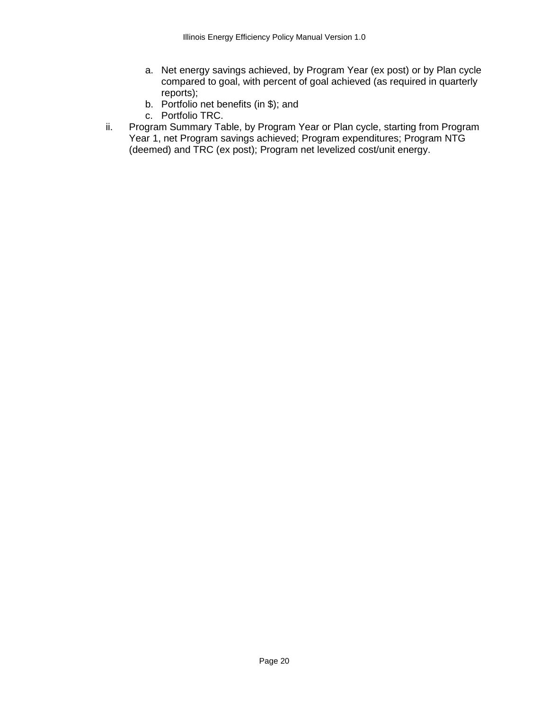- a. Net energy savings achieved, by Program Year (ex post) or by Plan cycle compared to goal, with percent of goal achieved (as required in quarterly reports);
- b. Portfolio net benefits (in \$); and
- c. Portfolio TRC.
- ii. Program Summary Table, by Program Year or Plan cycle, starting from Program Year 1, net Program savings achieved; Program expenditures; Program NTG (deemed) and TRC (ex post); Program net levelized cost/unit energy.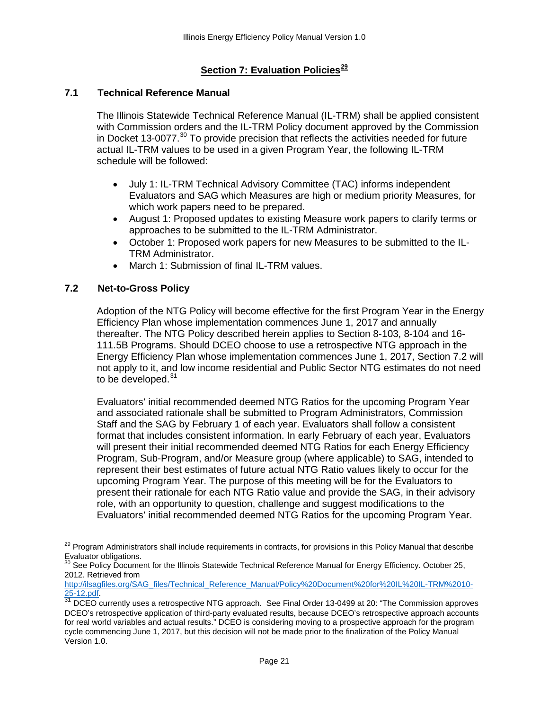# **Section 7: Evaluation Policies[29](#page-20-3)**

#### <span id="page-20-1"></span><span id="page-20-0"></span>**7.1 Technical Reference Manual**

The Illinois Statewide Technical Reference Manual (IL-TRM) shall be applied consistent with Commission orders and the IL-TRM Policy document approved by the Commission in Docket 13-0077. $30$  To provide precision that reflects the activities needed for future actual IL-TRM values to be used in a given Program Year, the following IL-TRM schedule will be followed:

- July 1: IL-TRM Technical Advisory Committee (TAC) informs independent Evaluators and SAG which Measures are high or medium priority Measures, for which work papers need to be prepared.
- August 1: Proposed updates to existing Measure work papers to clarify terms or approaches to be submitted to the IL-TRM Administrator.
- October 1: Proposed work papers for new Measures to be submitted to the IL-TRM Administrator.
- March 1: Submission of final IL-TRM values.

#### <span id="page-20-2"></span>**7.2 Net-to-Gross Policy**

Adoption of the NTG Policy will become effective for the first Program Year in the Energy Efficiency Plan whose implementation commences June 1, 2017 and annually thereafter. The NTG Policy described herein applies to Section 8-103, 8-104 and 16- 111.5B Programs. Should DCEO choose to use a retrospective NTG approach in the Energy Efficiency Plan whose implementation commences June 1, 2017, Section 7.2 will not apply to it, and low income residential and Public Sector NTG estimates do not need to be developed.<sup>[31](#page-20-5)</sup>

Evaluators' initial recommended deemed NTG Ratios for the upcoming Program Year and associated rationale shall be submitted to Program Administrators, Commission Staff and the SAG by February 1 of each year. Evaluators shall follow a consistent format that includes consistent information. In early February of each year, Evaluators will present their initial recommended deemed NTG Ratios for each Energy Efficiency Program, Sub-Program, and/or Measure group (where applicable) to SAG, intended to represent their best estimates of future actual NTG Ratio values likely to occur for the upcoming Program Year. The purpose of this meeting will be for the Evaluators to present their rationale for each NTG Ratio value and provide the SAG, in their advisory role, with an opportunity to question, challenge and suggest modifications to the Evaluators' initial recommended deemed NTG Ratios for the upcoming Program Year.

<span id="page-20-3"></span><sup>&</sup>lt;sup>29</sup> Program Administrators shall include requirements in contracts, for provisions in this Policy Manual that describe Evaluator obligations.

<span id="page-20-4"></span>See Policy Document for the Illinois Statewide Technical Reference Manual for Energy Efficiency. October 25, 2012. Retrieved from

[http://ilsagfiles.org/SAG\\_files/Technical\\_Reference\\_Manual/Policy%20Document%20for%20IL%20IL-TRM%2010-](http://ilsagfiles.org/SAG_files/Technical_Reference_Manual/Policy%20Document%20for%20IL%20TRM%2010-25-12.pdf)<br>25-12.pdf.<br><sup>31</sup> DCEO currently uses a refreeneething NTC anareasty. Osa Final Order 10.0120, 100 <sup>(FT</sup>) ...

<span id="page-20-5"></span>DCEO currently uses a retrospective NTG approach. See Final Order 13-0499 at 20: "The Commission approves DCEO's retrospective application of third-party evaluated results, because DCEO's retrospective approach accounts for real world variables and actual results." DCEO is considering moving to a prospective approach for the program cycle commencing June 1, 2017, but this decision will not be made prior to the finalization of the Policy Manual Version 1.0.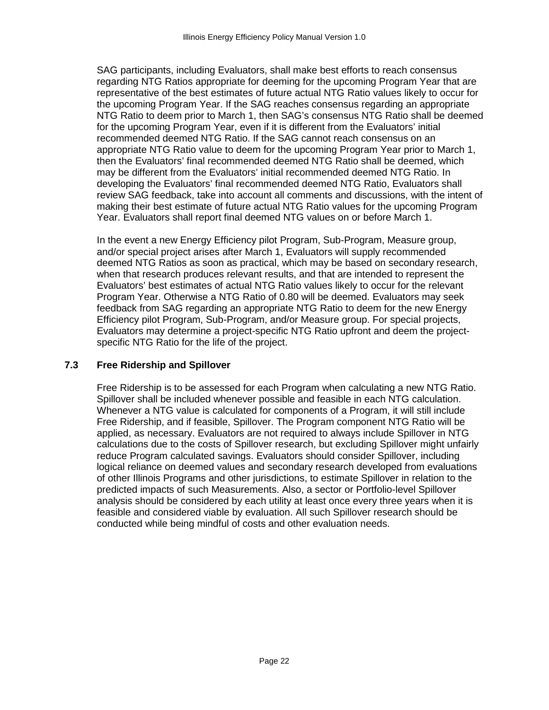SAG participants, including Evaluators, shall make best efforts to reach consensus regarding NTG Ratios appropriate for deeming for the upcoming Program Year that are representative of the best estimates of future actual NTG Ratio values likely to occur for the upcoming Program Year. If the SAG reaches consensus regarding an appropriate NTG Ratio to deem prior to March 1, then SAG's consensus NTG Ratio shall be deemed for the upcoming Program Year, even if it is different from the Evaluators' initial recommended deemed NTG Ratio. If the SAG cannot reach consensus on an appropriate NTG Ratio value to deem for the upcoming Program Year prior to March 1, then the Evaluators' final recommended deemed NTG Ratio shall be deemed, which may be different from the Evaluators' initial recommended deemed NTG Ratio. In developing the Evaluators' final recommended deemed NTG Ratio, Evaluators shall review SAG feedback, take into account all comments and discussions, with the intent of making their best estimate of future actual NTG Ratio values for the upcoming Program Year. Evaluators shall report final deemed NTG values on or before March 1.

In the event a new Energy Efficiency pilot Program, Sub-Program, Measure group, and/or special project arises after March 1, Evaluators will supply recommended deemed NTG Ratios as soon as practical, which may be based on secondary research, when that research produces relevant results, and that are intended to represent the Evaluators' best estimates of actual NTG Ratio values likely to occur for the relevant Program Year. Otherwise a NTG Ratio of 0.80 will be deemed. Evaluators may seek feedback from SAG regarding an appropriate NTG Ratio to deem for the new Energy Efficiency pilot Program, Sub-Program, and/or Measure group. For special projects, Evaluators may determine a project-specific NTG Ratio upfront and deem the projectspecific NTG Ratio for the life of the project.

#### <span id="page-21-0"></span>**7.3 Free Ridership and Spillover**

Free Ridership is to be assessed for each Program when calculating a new NTG Ratio. Spillover shall be included whenever possible and feasible in each NTG calculation. Whenever a NTG value is calculated for components of a Program, it will still include Free Ridership, and if feasible, Spillover. The Program component NTG Ratio will be applied, as necessary. Evaluators are not required to always include Spillover in NTG calculations due to the costs of Spillover research, but excluding Spillover might unfairly reduce Program calculated savings. Evaluators should consider Spillover, including logical reliance on deemed values and secondary research developed from evaluations of other Illinois Programs and other jurisdictions, to estimate Spillover in relation to the predicted impacts of such Measurements. Also, a sector or Portfolio-level Spillover analysis should be considered by each utility at least once every three years when it is feasible and considered viable by evaluation. All such Spillover research should be conducted while being mindful of costs and other evaluation needs.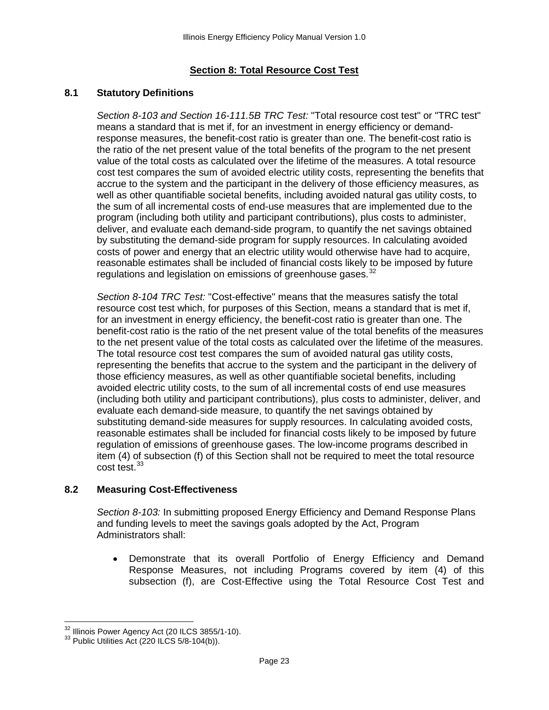# **Section 8: Total Resource Cost Test**

#### <span id="page-22-1"></span><span id="page-22-0"></span>**8.1 Statutory Definitions**

*Section 8-103 and Section 16-111.5B TRC Test:* "Total resource cost test" or "TRC test" means a standard that is met if, for an investment in energy efficiency or demandresponse measures, the benefit-cost ratio is greater than one. The benefit-cost ratio is the ratio of the net present value of the total benefits of the program to the net present value of the total costs as calculated over the lifetime of the measures. A total resource cost test compares the sum of avoided electric utility costs, representing the benefits that accrue to the system and the participant in the delivery of those efficiency measures, as well as other quantifiable societal benefits, including avoided natural gas utility costs, to the sum of all incremental costs of end-use measures that are implemented due to the program (including both utility and participant contributions), plus costs to administer, deliver, and evaluate each demand-side program, to quantify the net savings obtained by substituting the demand-side program for supply resources. In calculating avoided costs of power and energy that an electric utility would otherwise have had to acquire, reasonable estimates shall be included of financial costs likely to be imposed by future regulations and legislation on emissions of greenhouse gases.  $32$ 

*Section 8-104 TRC Test:* "Cost-effective" means that the measures satisfy the total resource cost test which, for purposes of this Section, means a standard that is met if, for an investment in energy efficiency, the benefit-cost ratio is greater than one. The benefit-cost ratio is the ratio of the net present value of the total benefits of the measures to the net present value of the total costs as calculated over the lifetime of the measures. The total resource cost test compares the sum of avoided natural gas utility costs, representing the benefits that accrue to the system and the participant in the delivery of those efficiency measures, as well as other quantifiable societal benefits, including avoided electric utility costs, to the sum of all incremental costs of end use measures (including both utility and participant contributions), plus costs to administer, deliver, and evaluate each demand-side measure, to quantify the net savings obtained by substituting demand-side measures for supply resources. In calculating avoided costs, reasonable estimates shall be included for financial costs likely to be imposed by future regulation of emissions of greenhouse gases. The low-income programs described in item (4) of subsection (f) of this Section shall not be required to meet the total resource cost test.<sup>[33](#page-22-4)</sup>

## <span id="page-22-2"></span>**8.2 Measuring Cost-Effectiveness**

*Section 8-103:* In submitting proposed Energy Efficiency and Demand Response Plans and funding levels to meet the savings goals adopted by the Act, Program Administrators shall:

• Demonstrate that its overall Portfolio of Energy Efficiency and Demand Response Measures, not including Programs covered by item (4) of this subsection (f), are Cost-Effective using the Total Resource Cost Test and

<span id="page-22-4"></span><span id="page-22-3"></span> $32$  Illinois Power Agency Act (20 ILCS 3855/1-10).<br> $33$  Public Utilities Act (220 ILCS 5/8-104(b)).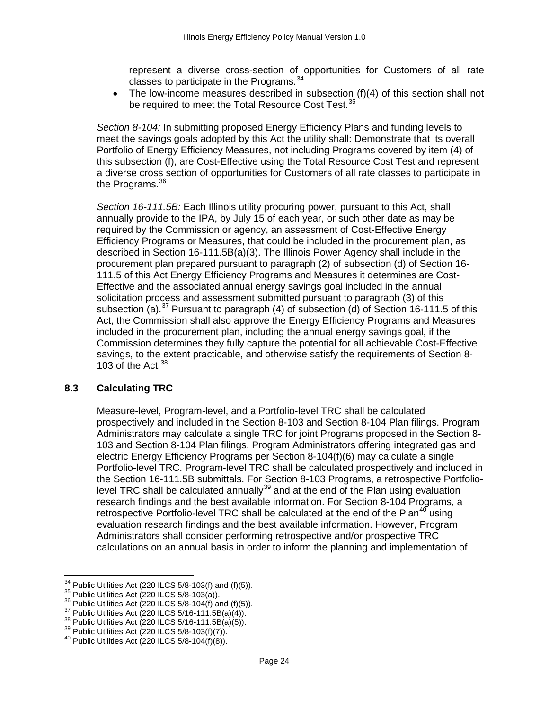represent a diverse cross-section of opportunities for Customers of all rate classes to participate in the Programs. $34$ 

• The low-income measures described in subsection (f)(4) of this section shall not be required to meet the Total Resource Cost Test.<sup>[35](#page-23-2)</sup>

*Section 8-104:* In submitting proposed Energy Efficiency Plans and funding levels to meet the savings goals adopted by this Act the utility shall: Demonstrate that its overall Portfolio of Energy Efficiency Measures, not including Programs covered by item (4) of this subsection (f), are Cost-Effective using the Total Resource Cost Test and represent a diverse cross section of opportunities for Customers of all rate classes to participate in the Programs.<sup>[36](#page-23-3)</sup>

*Section 16-111.5B:* Each Illinois utility procuring power, pursuant to this Act, shall annually provide to the IPA, by July 15 of each year, or such other date as may be required by the Commission or agency, an assessment of Cost-Effective Energy Efficiency Programs or Measures, that could be included in the procurement plan, as described in Section 16-111.5B(a)(3). The Illinois Power Agency shall include in the procurement plan prepared pursuant to paragraph (2) of subsection (d) of Section 16- 111.5 of this Act Energy Efficiency Programs and Measures it determines are Cost-Effective and the associated annual energy savings goal included in the annual solicitation process and assessment submitted pursuant to paragraph (3) of this subsection (a).<sup>[37](#page-23-4)</sup> Pursuant to paragraph (4) of subsection (d) of Section 16-111.5 of this Act, the Commission shall also approve the Energy Efficiency Programs and Measures included in the procurement plan, including the annual energy savings goal, if the Commission determines they fully capture the potential for all achievable Cost-Effective savings, to the extent practicable, and otherwise satisfy the requirements of Section 8- 103 of the Act.  $38$ 

#### <span id="page-23-0"></span>**8.3 Calculating TRC**

Measure-level, Program-level, and a Portfolio-level TRC shall be calculated prospectively and included in the Section 8-103 and Section 8-104 Plan filings. Program Administrators may calculate a single TRC for joint Programs proposed in the Section 8- 103 and Section 8-104 Plan filings. Program Administrators offering integrated gas and electric Energy Efficiency Programs per Section 8-104(f)(6) may calculate a single Portfolio-level TRC. Program-level TRC shall be calculated prospectively and included in the Section 16-111.5B submittals. For Section 8-103 Programs, a retrospective Portfolio-level TRC shall be calculated annually<sup>[39](#page-23-6)</sup> and at the end of the Plan using evaluation research findings and the best available information. For Section 8-104 Programs, a retrospective Portfolio-level TRC shall be calculated at the end of the Plan<sup>[40](#page-23-7)</sup> using evaluation research findings and the best available information. However, Program Administrators shall consider performing retrospective and/or prospective TRC calculations on an annual basis in order to inform the planning and implementation of

<span id="page-23-1"></span><sup>&</sup>lt;sup>34</sup> Public Utilities Act (220 ILCS 5/8-103(f) and (f)(5)).<br><sup>35</sup> Public Utilities Act (220 ILCS 5/8-103(a)).<br><sup>36</sup> Public Utilities Act (220 ILCS 5/8-104(f) and (f)(5)).<br><sup>37</sup> Public Utilities Act (220 ILCS 5/16-111.5B(a)(4

<span id="page-23-2"></span>

<span id="page-23-3"></span>

<span id="page-23-4"></span>

<span id="page-23-6"></span><span id="page-23-5"></span>

<span id="page-23-7"></span>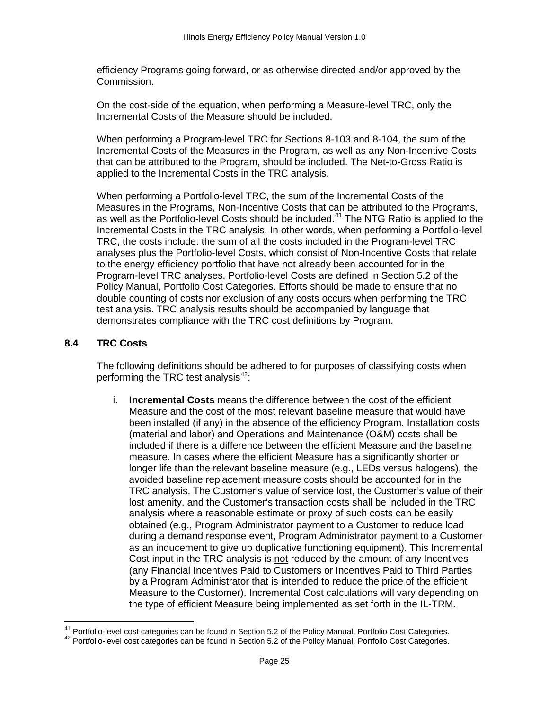efficiency Programs going forward, or as otherwise directed and/or approved by the Commission.

On the cost-side of the equation, when performing a Measure-level TRC, only the Incremental Costs of the Measure should be included.

When performing a Program-level TRC for Sections 8-103 and 8-104, the sum of the Incremental Costs of the Measures in the Program, as well as any Non-Incentive Costs that can be attributed to the Program, should be included. The Net-to-Gross Ratio is applied to the Incremental Costs in the TRC analysis.

When performing a Portfolio-level TRC, the sum of the Incremental Costs of the Measures in the Programs, Non-Incentive Costs that can be attributed to the Programs, as well as the Portfolio-level Costs should be included.<sup>[41](#page-24-1)</sup> The NTG Ratio is applied to the Incremental Costs in the TRC analysis. In other words, when performing a Portfolio-level TRC, the costs include: the sum of all the costs included in the Program-level TRC analyses plus the Portfolio-level Costs, which consist of Non-Incentive Costs that relate to the energy efficiency portfolio that have not already been accounted for in the Program-level TRC analyses. Portfolio-level Costs are defined in Section 5.2 of the Policy Manual, Portfolio Cost Categories. Efforts should be made to ensure that no double counting of costs nor exclusion of any costs occurs when performing the TRC test analysis. TRC analysis results should be accompanied by language that demonstrates compliance with the TRC cost definitions by Program.

#### <span id="page-24-0"></span>**8.4 TRC Costs**

The following definitions should be adhered to for purposes of classifying costs when performing the TRC test analysis $42$ :

i. **Incremental Costs** means the difference between the cost of the efficient Measure and the cost of the most relevant baseline measure that would have been installed (if any) in the absence of the efficiency Program. Installation costs (material and labor) and Operations and Maintenance (O&M) costs shall be included if there is a difference between the efficient Measure and the baseline measure. In cases where the efficient Measure has a significantly shorter or longer life than the relevant baseline measure (e.g., LEDs versus halogens), the avoided baseline replacement measure costs should be accounted for in the TRC analysis. The Customer's value of service lost, the Customer's value of their lost amenity, and the Customer's transaction costs shall be included in the TRC analysis where a reasonable estimate or proxy of such costs can be easily obtained (e.g., Program Administrator payment to a Customer to reduce load during a demand response event, Program Administrator payment to a Customer as an inducement to give up duplicative functioning equipment). This Incremental Cost input in the TRC analysis is not reduced by the amount of any Incentives (any Financial Incentives Paid to Customers or Incentives Paid to Third Parties by a Program Administrator that is intended to reduce the price of the efficient Measure to the Customer). Incremental Cost calculations will vary depending on the type of efficient Measure being implemented as set forth in the IL-TRM.

<span id="page-24-2"></span><span id="page-24-1"></span><sup>&</sup>lt;sup>41</sup> Portfolio-level cost categories can be found in Section 5.2 of the Policy Manual, Portfolio Cost Categories.<br><sup>42</sup> Portfolio-level cost categories can be found in Section 5.2 of the Policy Manual, Portfolio Cost Categ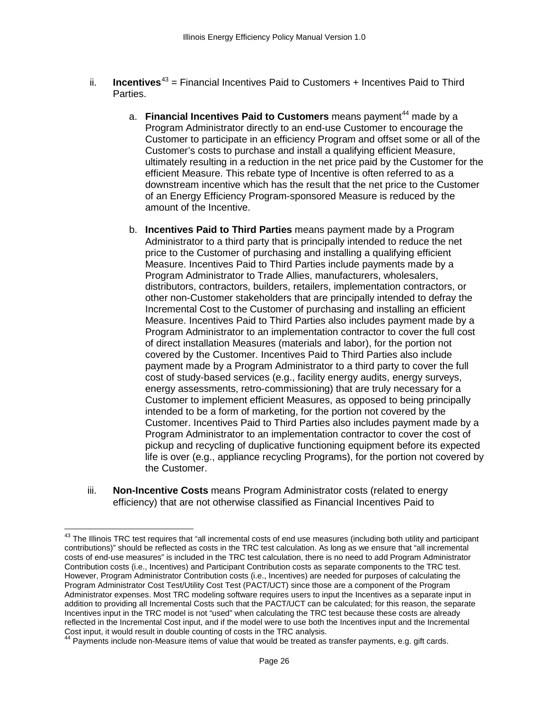- ii. **Incentives**<sup>[43](#page-25-0)</sup> = Financial Incentives Paid to Customers + Incentives Paid to Third Parties.
	- a. **Financial Incentives Paid to Customers** means payment<sup>[44](#page-25-1)</sup> made by a Program Administrator directly to an end-use Customer to encourage the Customer to participate in an efficiency Program and offset some or all of the Customer's costs to purchase and install a qualifying efficient Measure, ultimately resulting in a reduction in the net price paid by the Customer for the efficient Measure. This rebate type of Incentive is often referred to as a downstream incentive which has the result that the net price to the Customer of an Energy Efficiency Program-sponsored Measure is reduced by the amount of the Incentive.
	- b. **Incentives Paid to Third Parties** means payment made by a Program Administrator to a third party that is principally intended to reduce the net price to the Customer of purchasing and installing a qualifying efficient Measure. Incentives Paid to Third Parties include payments made by a Program Administrator to Trade Allies, manufacturers, wholesalers, distributors, contractors, builders, retailers, implementation contractors, or other non-Customer stakeholders that are principally intended to defray the Incremental Cost to the Customer of purchasing and installing an efficient Measure. Incentives Paid to Third Parties also includes payment made by a Program Administrator to an implementation contractor to cover the full cost of direct installation Measures (materials and labor), for the portion not covered by the Customer. Incentives Paid to Third Parties also include payment made by a Program Administrator to a third party to cover the full cost of study-based services (e.g., facility energy audits, energy surveys, energy assessments, retro-commissioning) that are truly necessary for a Customer to implement efficient Measures, as opposed to being principally intended to be a form of marketing, for the portion not covered by the Customer. Incentives Paid to Third Parties also includes payment made by a Program Administrator to an implementation contractor to cover the cost of pickup and recycling of duplicative functioning equipment before its expected life is over (e.g., appliance recycling Programs), for the portion not covered by the Customer.
- iii. **Non-Incentive Costs** means Program Administrator costs (related to energy efficiency) that are not otherwise classified as Financial Incentives Paid to

<span id="page-25-0"></span><sup>&</sup>lt;sup>43</sup> The Illinois TRC test requires that "all incremental costs of end use measures (including both utility and participant contributions)" should be reflected as costs in the TRC test calculation. As long as we ensure that "all incremental costs of end-use measures" is included in the TRC test calculation, there is no need to add Program Administrator Contribution costs (i.e., Incentives) and Participant Contribution costs as separate components to the TRC test. However, Program Administrator Contribution costs (i.e., Incentives) are needed for purposes of calculating the Program Administrator Cost Test/Utility Cost Test (PACT/UCT) since those are a component of the Program Administrator expenses. Most TRC modeling software requires users to input the Incentives as a separate input in addition to providing all Incremental Costs such that the PACT/UCT can be calculated; for this reason, the separate Incentives input in the TRC model is not "used" when calculating the TRC test because these costs are already reflected in the Incremental Cost input, and if the model were to use both the Incentives input and the Incremental Cost input, it would result in double counting of costs in the TRC analysis.

<span id="page-25-1"></span>Payments include non-Measure items of value that would be treated as transfer payments, e.g. gift cards.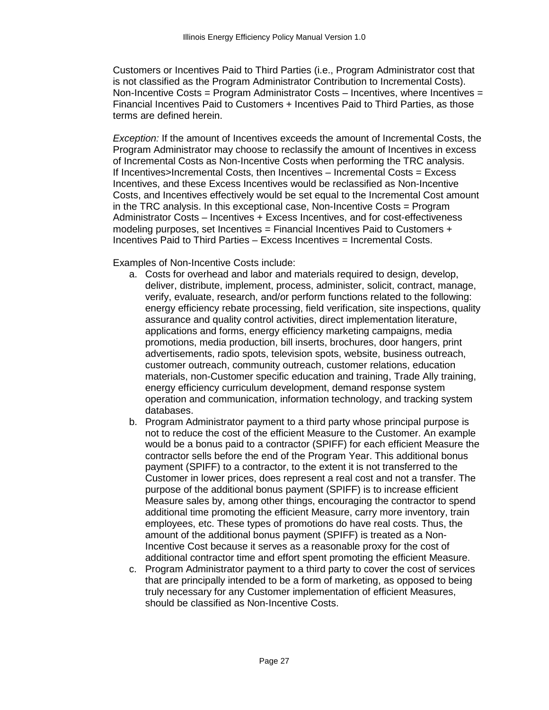Customers or Incentives Paid to Third Parties (i.e., Program Administrator cost that is not classified as the Program Administrator Contribution to Incremental Costs). Non-Incentive Costs = Program Administrator Costs – Incentives, where Incentives = Financial Incentives Paid to Customers + Incentives Paid to Third Parties, as those terms are defined herein.

*Exception:* If the amount of Incentives exceeds the amount of Incremental Costs, the Program Administrator may choose to reclassify the amount of Incentives in excess of Incremental Costs as Non-Incentive Costs when performing the TRC analysis. If Incentives>Incremental Costs, then Incentives – Incremental Costs = Excess Incentives, and these Excess Incentives would be reclassified as Non-Incentive Costs, and Incentives effectively would be set equal to the Incremental Cost amount in the TRC analysis. In this exceptional case, Non-Incentive Costs = Program Administrator Costs – Incentives + Excess Incentives, and for cost-effectiveness modeling purposes, set Incentives = Financial Incentives Paid to Customers + Incentives Paid to Third Parties – Excess Incentives = Incremental Costs.

Examples of Non-Incentive Costs include:

- a. Costs for overhead and labor and materials required to design, develop, deliver, distribute, implement, process, administer, solicit, contract, manage, verify, evaluate, research, and/or perform functions related to the following: energy efficiency rebate processing, field verification, site inspections, quality assurance and quality control activities, direct implementation literature, applications and forms, energy efficiency marketing campaigns, media promotions, media production, bill inserts, brochures, door hangers, print advertisements, radio spots, television spots, website, business outreach, customer outreach, community outreach, customer relations, education materials, non-Customer specific education and training, Trade Ally training, energy efficiency curriculum development, demand response system operation and communication, information technology, and tracking system databases.
- b. Program Administrator payment to a third party whose principal purpose is not to reduce the cost of the efficient Measure to the Customer. An example would be a bonus paid to a contractor (SPIFF) for each efficient Measure the contractor sells before the end of the Program Year. This additional bonus payment (SPIFF) to a contractor, to the extent it is not transferred to the Customer in lower prices, does represent a real cost and not a transfer. The purpose of the additional bonus payment (SPIFF) is to increase efficient Measure sales by, among other things, encouraging the contractor to spend additional time promoting the efficient Measure, carry more inventory, train employees, etc. These types of promotions do have real costs. Thus, the amount of the additional bonus payment (SPIFF) is treated as a Non-Incentive Cost because it serves as a reasonable proxy for the cost of additional contractor time and effort spent promoting the efficient Measure.
- c. Program Administrator payment to a third party to cover the cost of services that are principally intended to be a form of marketing, as opposed to being truly necessary for any Customer implementation of efficient Measures, should be classified as Non-Incentive Costs.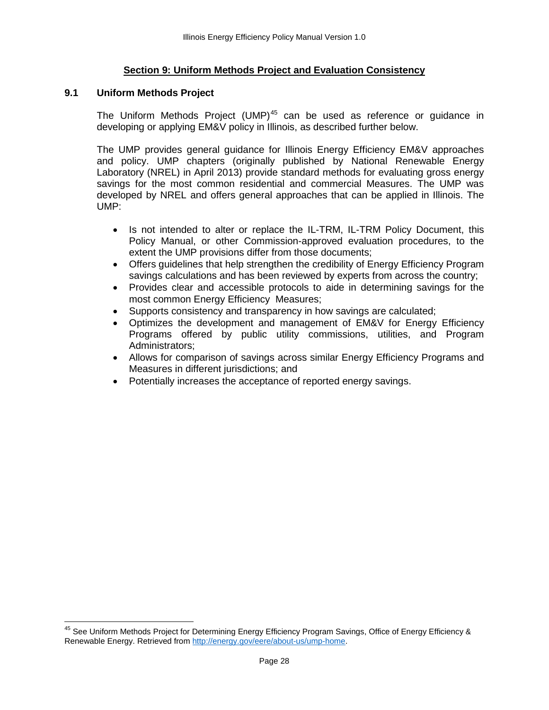#### **Section 9: Uniform Methods Project and Evaluation Consistency**

#### <span id="page-27-1"></span><span id="page-27-0"></span>**9.1 Uniform Methods Project**

The Uniform Methods Project (UMP)<sup>[45](#page-27-2)</sup> can be used as reference or guidance in developing or applying EM&V policy in Illinois, as described further below.

The UMP provides general guidance for Illinois Energy Efficiency EM&V approaches and policy. UMP chapters (originally published by National Renewable Energy Laboratory (NREL) in April 2013) provide standard methods for evaluating gross energy savings for the most common residential and commercial Measures. The UMP was developed by NREL and offers general approaches that can be applied in Illinois. The UMP:

- Is not intended to alter or replace the IL-TRM, IL-TRM Policy Document, this Policy Manual, or other Commission-approved evaluation procedures, to the extent the UMP provisions differ from those documents;
- Offers guidelines that help strengthen the credibility of Energy Efficiency Program savings calculations and has been reviewed by experts from across the country;
- Provides clear and accessible protocols to aide in determining savings for the most common Energy Efficiency Measures;
- Supports consistency and transparency in how savings are calculated;
- Optimizes the development and management of EM&V for Energy Efficiency Programs offered by public utility commissions, utilities, and Program Administrators;
- Allows for comparison of savings across similar Energy Efficiency Programs and Measures in different jurisdictions; and
- Potentially increases the acceptance of reported energy savings.

<span id="page-27-2"></span><sup>&</sup>lt;sup>45</sup> See Uniform Methods Project for Determining Energy Efficiency Program Savings, Office of Energy Efficiency & Renewable Energy. Retrieved fro[m http://energy.gov/eere/about-us/ump-home.](http://energy.gov/eere/about-us/ump-home)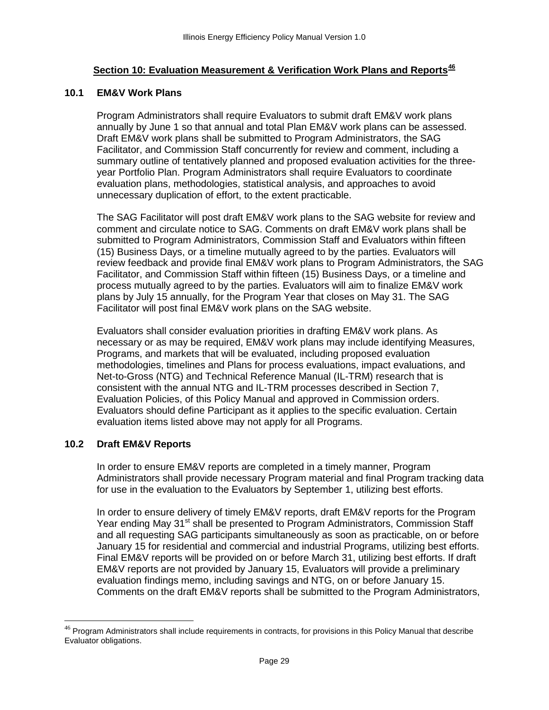## **Section 10: Evaluation Measurement & Verification Work Plans and Reports[46](#page-28-3)**

#### <span id="page-28-1"></span><span id="page-28-0"></span>**10.1 EM&V Work Plans**

Program Administrators shall require Evaluators to submit draft EM&V work plans annually by June 1 so that annual and total Plan EM&V work plans can be assessed. Draft EM&V work plans shall be submitted to Program Administrators, the SAG Facilitator, and Commission Staff concurrently for review and comment, including a summary outline of tentatively planned and proposed evaluation activities for the threeyear Portfolio Plan. Program Administrators shall require Evaluators to coordinate evaluation plans, methodologies, statistical analysis, and approaches to avoid unnecessary duplication of effort, to the extent practicable.

The SAG Facilitator will post draft EM&V work plans to the SAG website for review and comment and circulate notice to SAG. Comments on draft EM&V work plans shall be submitted to Program Administrators, Commission Staff and Evaluators within fifteen (15) Business Days, or a timeline mutually agreed to by the parties. Evaluators will review feedback and provide final EM&V work plans to Program Administrators, the SAG Facilitator, and Commission Staff within fifteen (15) Business Days, or a timeline and process mutually agreed to by the parties. Evaluators will aim to finalize EM&V work plans by July 15 annually, for the Program Year that closes on May 31. The SAG Facilitator will post final EM&V work plans on the SAG website.

Evaluators shall consider evaluation priorities in drafting EM&V work plans. As necessary or as may be required, EM&V work plans may include identifying Measures, Programs, and markets that will be evaluated, including proposed evaluation methodologies, timelines and Plans for process evaluations, impact evaluations, and Net-to-Gross (NTG) and Technical Reference Manual (IL-TRM) research that is consistent with the annual NTG and IL-TRM processes described in Section 7, Evaluation Policies, of this Policy Manual and approved in Commission orders. Evaluators should define Participant as it applies to the specific evaluation. Certain evaluation items listed above may not apply for all Programs.

#### <span id="page-28-2"></span>**10.2 Draft EM&V Reports**

In order to ensure EM&V reports are completed in a timely manner, Program Administrators shall provide necessary Program material and final Program tracking data for use in the evaluation to the Evaluators by September 1, utilizing best efforts.

In order to ensure delivery of timely EM&V reports, draft EM&V reports for the Program Year ending May 31<sup>st</sup> shall be presented to Program Administrators, Commission Staff and all requesting SAG participants simultaneously as soon as practicable, on or before January 15 for residential and commercial and industrial Programs, utilizing best efforts. Final EM&V reports will be provided on or before March 31, utilizing best efforts. If draft EM&V reports are not provided by January 15, Evaluators will provide a preliminary evaluation findings memo, including savings and NTG, on or before January 15. Comments on the draft EM&V reports shall be submitted to the Program Administrators,

<span id="page-28-3"></span> $46$  Program Administrators shall include requirements in contracts, for provisions in this Policy Manual that describe Evaluator obligations.